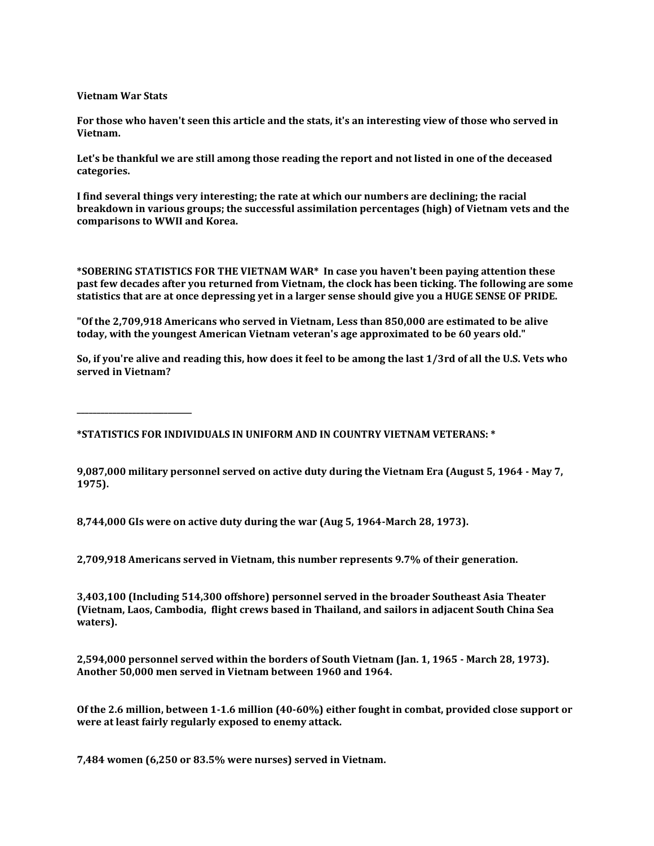**Vietnam War Stats**

**For those who haven't seen this article and the stats, it's an interesting view of those who served in Vietnam.**

**Let's be thankful we are still among those reading the report and not listed in one of the deceased categories.**

**I find several things very interesting; the rate at which our numbers are declining; the racial breakdown in various groups; the successful assimilation percentages (high) of Vietnam vets and the comparisons to WWII and Korea.**

**\*SOBERING STATISTICS FOR THE VIETNAM WAR\* In case you haven't been paying attention these past few decades after you returned from Vietnam, the clock has been ticking. The following are some statistics that are at once depressing yet in a larger sense should give you a HUGE SENSE OF PRIDE.**

**"Of the 2,709,918 Americans who served in Vietnam, Less than 850,000 are estimated to be alive today, with the youngest American Vietnam veteran's age approximated to be 60 years old."**

**So, if you're alive and reading this, how does it feel to be among the last 1/3rd of all the U.S. Vets who served in Vietnam?**

**\_\_\_\_\_\_\_\_\_\_\_\_\_\_\_\_\_\_\_\_\_\_\_\_\_\_\_\_\_**

**\*STATISTICS FOR INDIVIDUALS IN UNIFORM AND IN COUNTRY VIETNAM VETERANS: \***

**9,087,000 military personnel served on active duty during the Vietnam Era (August 5, 1964 - May 7, 1975).**

**8,744,000 GIs were on active duty during the war (Aug 5, 1964-March 28, 1973).**

**2,709,918 Americans served in Vietnam, this number represents 9.7% of their generation.**

**3,403,100 (Including 514,300 offshore) personnel served in the broader Southeast Asia Theater (Vietnam, Laos, Cambodia, flight crews based in Thailand, and sailors in adjacent South China Sea waters).**

**2,594,000 personnel served within the borders of South Vietnam (Jan. 1, 1965 - March 28, 1973). Another 50,000 men served in Vietnam between 1960 and 1964.**

**Of the 2.6 million, between 1-1.6 million (40-60%) either fought in combat, provided close support or were at least fairly regularly exposed to enemy attack.**

**7,484 women (6,250 or 83.5% were nurses) served in Vietnam.**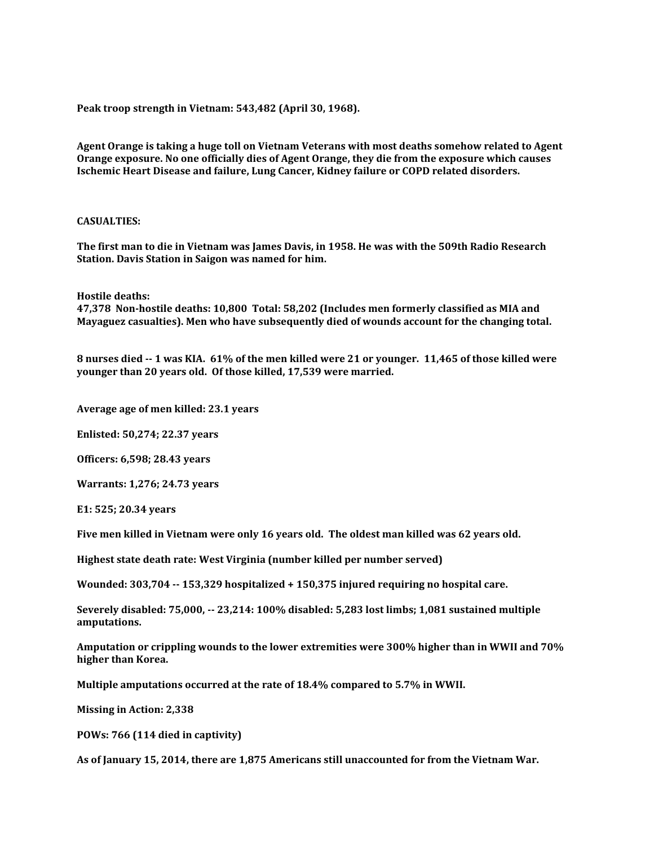**Peak troop strength in Vietnam: 543,482 (April 30, 1968).**

**Agent Orange is taking a huge toll on Vietnam Veterans with most deaths somehow related to Agent Orange exposure. No one officially dies of Agent Orange, they die from the exposure which causes Ischemic Heart Disease and failure, Lung Cancer, Kidney failure or COPD related disorders.**

## **CASUALTIES:**

**The first man to die in Vietnam was James Davis, in 1958. He was with the 509th Radio Research Station. Davis Station in Saigon was named for him.**

**Hostile deaths:**

**47,378 Non-hostile deaths: 10,800 Total: 58,202 (Includes men formerly classified as MIA and Mayaguez casualties). Men who have subsequently died of wounds account for the changing total.**

**8 nurses died -- 1 was KIA. 61% of the men killed were 21 or younger. 11,465 of those killed were younger than 20 years old. Of those killed, 17,539 were married.**

**Average age of men killed: 23.1 years**

**Enlisted: 50,274; 22.37 years**

**Officers: 6,598; 28.43 years**

**Warrants: 1,276; 24.73 years**

**E1: 525; 20.34 years**

**Five men killed in Vietnam were only 16 years old. The oldest man killed was 62 years old.**

**Highest state death rate: West Virginia (number killed per number served)**

**Wounded: 303,704 -- 153,329 hospitalized + 150,375 injured requiring no hospital care.**

**Severely disabled: 75,000, -- 23,214: 100% disabled: 5,283 lost limbs; 1,081 sustained multiple amputations.**

**Amputation or crippling wounds to the lower extremities were 300% higher than in WWII and 70% higher than Korea.**

**Multiple amputations occurred at the rate of 18.4% compared to 5.7% in WWII.**

**Missing in Action: 2,338**

**POWs: 766 (114 died in captivity)**

**As of January 15, 2014, there are 1,875 Americans still unaccounted for from the Vietnam War.**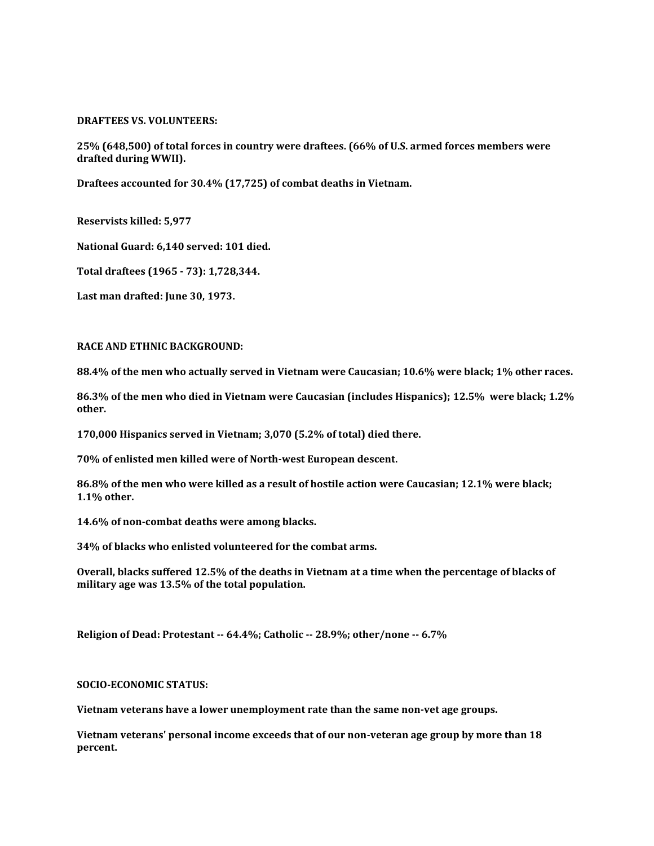## **DRAFTEES VS. VOLUNTEERS:**

**25% (648,500) of total forces in country were draftees. (66% of U.S. armed forces members were drafted during WWII).**

**Draftees accounted for 30.4% (17,725) of combat deaths in Vietnam.**

**Reservists killed: 5,977**

**National Guard: 6,140 served: 101 died.**

**Total draftees (1965 - 73): 1,728,344.**

**Last man drafted: June 30, 1973.**

## **RACE AND ETHNIC BACKGROUND:**

**88.4% of the men who actually served in Vietnam were Caucasian; 10.6% were black; 1% other races.**

**86.3% of the men who died in Vietnam were Caucasian (includes Hispanics); 12.5% were black; 1.2% other.**

**170,000 Hispanics served in Vietnam; 3,070 (5.2% of total) died there.**

**70% of enlisted men killed were of North-west European descent.**

**86.8% of the men who were killed as a result of hostile action were Caucasian; 12.1% were black; 1.1% other.**

**14.6% of non-combat deaths were among blacks.**

**34% of blacks who enlisted volunteered for the combat arms.**

**Overall, blacks suffered 12.5% of the deaths in Vietnam at a time when the percentage of blacks of military age was 13.5% of the total population.**

**Religion of Dead: Protestant -- 64.4%; Catholic -- 28.9%; other/none -- 6.7%**

# **SOCIO-ECONOMIC STATUS:**

**Vietnam veterans have a lower unemployment rate than the same non-vet age groups.**

**Vietnam veterans' personal income exceeds that of our non-veteran age group by more than 18 percent.**